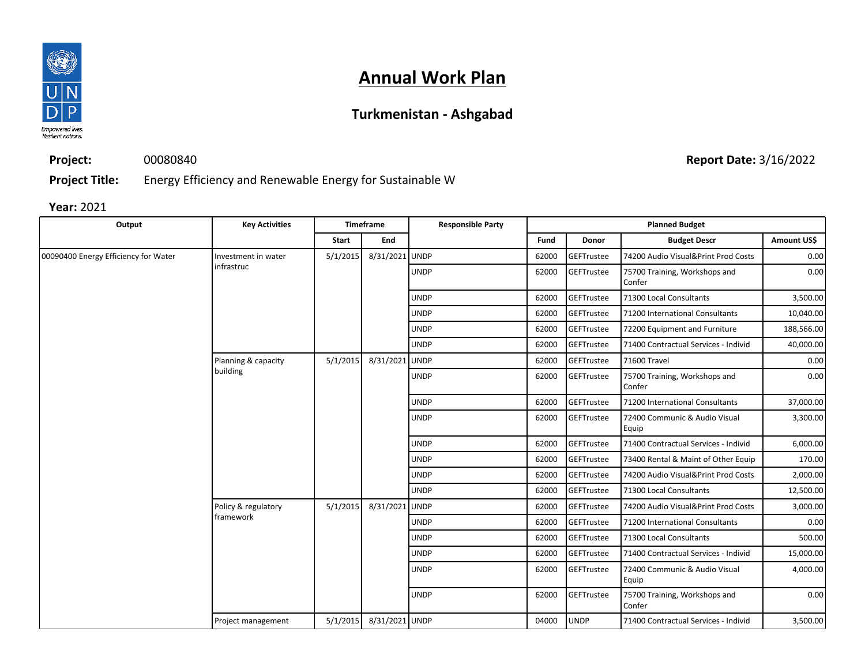

## **Annual Work Plan**

## **Turkmenistan - Ashgabad**

**Project Title:** Energy Efficiency and Renewable Energy for Sustainable W

00080840

**Year:** 2021

**Project:**

| Output                               | <b>Key Activities</b>             | <b>Timeframe</b> |                | <b>Responsible Party</b> | <b>Planned Budget</b> |                   |                                         |             |
|--------------------------------------|-----------------------------------|------------------|----------------|--------------------------|-----------------------|-------------------|-----------------------------------------|-------------|
|                                      |                                   | Start            | End            |                          | Fund                  | Donor             | <b>Budget Descr</b>                     | Amount US\$ |
| 00090400 Energy Efficiency for Water | Investment in water<br>infrastruc | 5/1/2015         | 8/31/2021 UNDP |                          | 62000                 | <b>GEFTrustee</b> | 74200 Audio Visual&Print Prod Costs     | 0.00        |
|                                      |                                   |                  |                | <b>UNDP</b>              | 62000                 | <b>GEFTrustee</b> | 75700 Training, Workshops and<br>Confer | 0.00        |
|                                      |                                   |                  |                | <b>UNDP</b>              | 62000                 | GEFTrustee        | 71300 Local Consultants                 | 3,500.00    |
|                                      |                                   |                  |                | <b>UNDP</b>              | 62000                 | <b>GEFTrustee</b> | 71200 International Consultants         | 10,040.00   |
|                                      |                                   |                  |                | <b>UNDP</b>              | 62000                 | <b>GEFTrustee</b> | 72200 Equipment and Furniture           | 188,566.00  |
|                                      |                                   |                  |                | <b>UNDP</b>              | 62000                 | GEFTrustee        | 71400 Contractual Services - Individ    | 40,000.00   |
|                                      | Planning & capacity<br>building   | 5/1/2015         | 8/31/2021 UNDP |                          | 62000                 | GEFTrustee        | 71600 Travel                            | 0.00        |
|                                      |                                   |                  |                | <b>UNDP</b>              | 62000                 | <b>GEFTrustee</b> | 75700 Training, Workshops and<br>Confer | 0.00        |
|                                      |                                   |                  |                | <b>UNDP</b>              | 62000                 | <b>GEFTrustee</b> | 71200 International Consultants         | 37,000.00   |
|                                      |                                   |                  |                | <b>UNDP</b>              | 62000                 | <b>GEFTrustee</b> | 72400 Communic & Audio Visual<br>Equip  | 3,300.00    |
|                                      |                                   |                  |                | <b>UNDP</b>              | 62000                 | <b>GEFTrustee</b> | 71400 Contractual Services - Individ    | 6,000.00    |
|                                      |                                   |                  |                | <b>UNDP</b>              | 62000                 | <b>GEFTrustee</b> | 73400 Rental & Maint of Other Equip     | 170.00      |
|                                      |                                   |                  |                | <b>UNDP</b>              | 62000                 | <b>GEFTrustee</b> | 74200 Audio Visual&Print Prod Costs     | 2,000.00    |
|                                      |                                   |                  |                | <b>UNDP</b>              | 62000                 | <b>GEFTrustee</b> | 71300 Local Consultants                 | 12,500.00   |
|                                      | Policy & regulatory<br>framework  | 5/1/2015         | 8/31/2021 UNDP |                          | 62000                 | GEFTrustee        | 74200 Audio Visual&Print Prod Costs     | 3,000.00    |
|                                      |                                   |                  |                | <b>UNDP</b>              | 62000                 | <b>GEFTrustee</b> | 71200 International Consultants         | 0.00        |
|                                      |                                   |                  |                | <b>UNDP</b>              | 62000                 | <b>GEFTrustee</b> | 71300 Local Consultants                 | 500.00      |
|                                      |                                   |                  |                | <b>UNDP</b>              | 62000                 | GEFTrustee        | 71400 Contractual Services - Individ    | 15,000.00   |
|                                      |                                   |                  |                | <b>UNDP</b>              | 62000                 | <b>GEFTrustee</b> | 72400 Communic & Audio Visual<br>Equip  | 4,000.00    |
|                                      |                                   |                  |                | <b>UNDP</b>              | 62000                 | <b>GEFTrustee</b> | 75700 Training, Workshops and<br>Confer | 0.00        |
|                                      | Project management                | 5/1/2015         | 8/31/2021 UNDP |                          | 04000                 | <b>UNDP</b>       | 71400 Contractual Services - Individ    | 3,500.00    |

**Report Date:** 3/16/2022